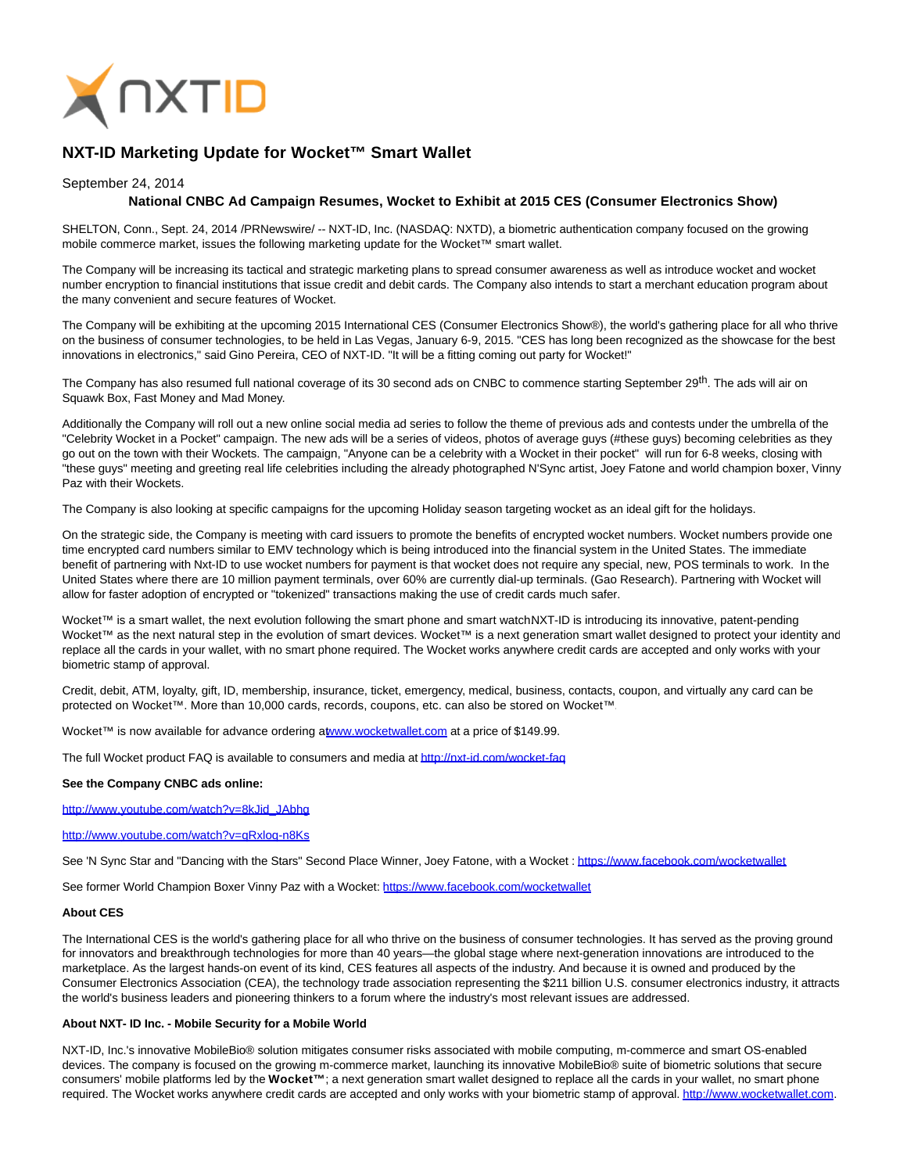

# **NXT-ID Marketing Update for Wocket™ Smart Wallet**

### September 24, 2014

## **National CNBC Ad Campaign Resumes, Wocket to Exhibit at 2015 CES (Consumer Electronics Show)**

SHELTON, Conn., Sept. 24, 2014 /PRNewswire/ -- NXT-ID, Inc. (NASDAQ: NXTD), a biometric authentication company focused on the growing mobile commerce market, issues the following marketing update for the Wocket™ smart wallet.

The Company will be increasing its tactical and strategic marketing plans to spread consumer awareness as well as introduce wocket and wocket number encryption to financial institutions that issue credit and debit cards. The Company also intends to start a merchant education program about the many convenient and secure features of Wocket.

The Company will be exhibiting at the upcoming 2015 International CES (Consumer Electronics Show®), the world's gathering place for all who thrive on the business of consumer technologies, to be held in Las Vegas, January 6-9, 2015. "CES has long been recognized as the showcase for the best innovations in electronics," said Gino Pereira, CEO of NXT-ID. "It will be a fitting coming out party for Wocket!"

The Company has also resumed full national coverage of its 30 second ads on CNBC to commence starting September 29<sup>th</sup>. The ads will air on Squawk Box, Fast Money and Mad Money.

Additionally the Company will roll out a new online social media ad series to follow the theme of previous ads and contests under the umbrella of the "Celebrity Wocket in a Pocket" campaign. The new ads will be a series of videos, photos of average guys (#these guys) becoming celebrities as they go out on the town with their Wockets. The campaign, "Anyone can be a celebrity with a Wocket in their pocket" will run for 6-8 weeks, closing with "these guys" meeting and greeting real life celebrities including the already photographed N'Sync artist, Joey Fatone and world champion boxer, Vinny Paz with their Wockets.

The Company is also looking at specific campaigns for the upcoming Holiday season targeting wocket as an ideal gift for the holidays.

On the strategic side, the Company is meeting with card issuers to promote the benefits of encrypted wocket numbers. Wocket numbers provide one time encrypted card numbers similar to EMV technology which is being introduced into the financial system in the United States. The immediate benefit of partnering with Nxt-ID to use wocket numbers for payment is that wocket does not require any special, new, POS terminals to work. In the United States where there are 10 million payment terminals, over 60% are currently dial-up terminals. (Gao Research). Partnering with Wocket will allow for faster adoption of encrypted or "tokenized" transactions making the use of credit cards much safer.

Wocket™ is a smart wallet, the next evolution following the smart phone and smart watchNXT-ID is introducing its innovative, patent-pending Wocket™ as the next natural step in the evolution of smart devices. Wocket™ is a next generation smart wallet designed to protect your identity and replace all the cards in your wallet, with no smart phone required. The Wocket works anywhere credit cards are accepted and only works with your biometric stamp of approval.

Credit, debit, ATM, loyalty, gift, ID, membership, insurance, ticket, emergency, medical, business, contacts, coupon, and virtually any card can be protected on Wocket™. More than 10,000 cards, records, coupons, etc. can also be stored on Wocket™.

Wocket™ is now available for advance ordering [at www.wocketwallet.com a](http://www.wocketwallet.com/)t a price of \$149.99.

The full Wocket product FAQ is available to consumers and media a[t http://nxt-id.com/wocket-faq](http://nxt-id.com/wocket-faq)

#### **See the Company CNBC ads online:**

[http://www.youtube.com/watch?v=8kJid\\_JAbhg](http://www.youtube.com/watch?v=8kJid_JAbhg)

#### <http://www.youtube.com/watch?v=qRxloq-n8Ks>

See 'N Sync Star and "Dancing with the Stars" Second Place Winner, Joey Fatone, with a Wocket [: https://www.facebook.com/wocketwallet](https://www.facebook.com/wocketwallet)

See former World Champion Boxer Vinny Paz with a Wocket:<https://www.facebook.com/wocketwallet>

#### **About CES**

The International CES is the world's gathering place for all who thrive on the business of consumer technologies. It has served as the proving ground for innovators and breakthrough technologies for more than 40 years—the global stage where next-generation innovations are introduced to the marketplace. As the largest hands-on event of its kind, CES features all aspects of the industry. And because it is owned and produced by the Consumer Electronics Association (CEA), the technology trade association representing the \$211 billion U.S. consumer electronics industry, it attracts the world's business leaders and pioneering thinkers to a forum where the industry's most relevant issues are addressed.

#### **About NXT- ID Inc. - Mobile Security for a Mobile World**

NXT-ID, Inc.'s innovative MobileBio® solution mitigates consumer risks associated with mobile computing, m-commerce and smart OS-enabled devices. The company is focused on the growing m-commerce market, launching its innovative MobileBio® suite of biometric solutions that secure consumers' mobile platforms led by the **Wocket™** ; a next generation smart wallet designed to replace all the cards in your wallet, no smart phone required. The Wocket works anywhere credit cards are accepted and only works with your biometric stamp of approval[. http://www.wocketwallet.com.](http://www.wocketwallet.com/)